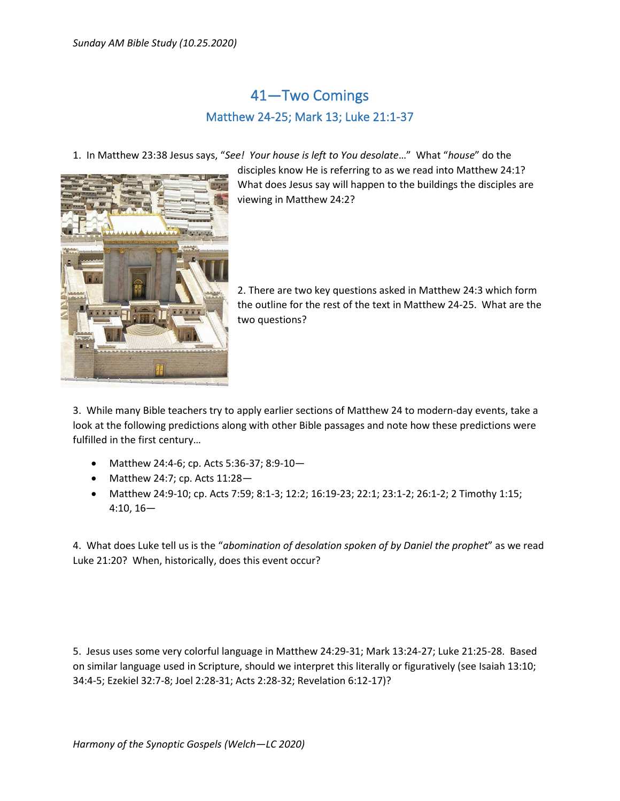## 41—Two Comings Matthew 24-25; Mark 13; Luke 21:1-37

1. In Matthew 23:38 Jesus says, "*See! Your house is left to You desolate*…" What "*house*" do the



disciples know He is referring to as we read into Matthew 24:1? What does Jesus say will happen to the buildings the disciples are viewing in Matthew 24:2?

2. There are two key questions asked in Matthew 24:3 which form the outline for the rest of the text in Matthew 24-25. What are the two questions?

3. While many Bible teachers try to apply earlier sections of Matthew 24 to modern-day events, take a look at the following predictions along with other Bible passages and note how these predictions were fulfilled in the first century…

- Matthew 24:4-6; cp. Acts 5:36-37; 8:9-10—
- Matthew 24:7; cp. Acts  $11:28-$
- Matthew 24:9-10; cp. Acts 7:59; 8:1-3; 12:2; 16:19-23; 22:1; 23:1-2; 26:1-2; 2 Timothy 1:15; 4:10, 16—

4. What does Luke tell us is the "*abomination of desolation spoken of by Daniel the prophet*" as we read Luke 21:20? When, historically, does this event occur?

5. Jesus uses some very colorful language in Matthew 24:29-31; Mark 13:24-27; Luke 21:25-28. Based on similar language used in Scripture, should we interpret this literally or figuratively (see Isaiah 13:10; 34:4-5; Ezekiel 32:7-8; Joel 2:28-31; Acts 2:28-32; Revelation 6:12-17)?